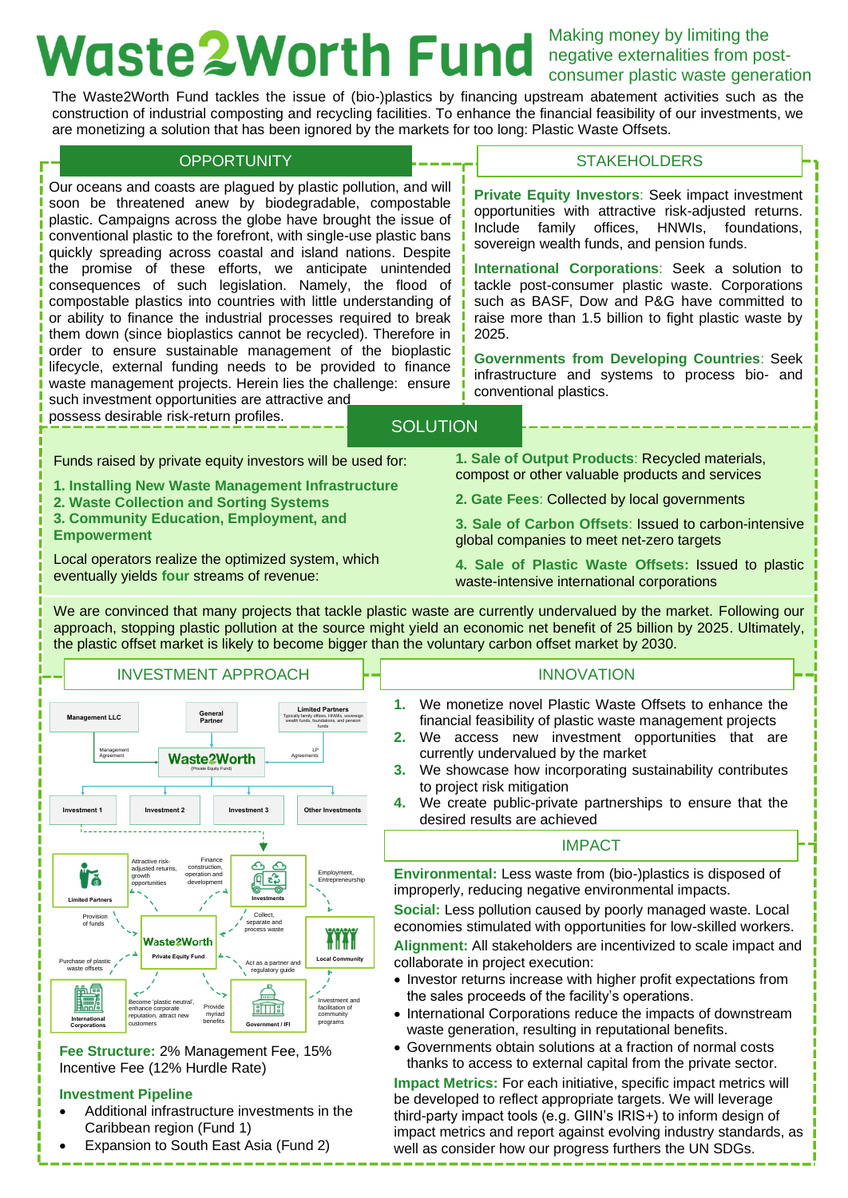# Making money by limiting the negative externalities from postconsumer plastic waste generation

The Waste2Worth Fund tackles the issue of (bio-)plastics by financing upstream abatement activities such as the construction of industrial composting and recycling facilities. To enhance the financial feasibility of our investments, we are monetizing a solution that has been ignored by the markets for too long: Plastic Waste Offsets.

### OPPORTUNITY **CONTRACT CONTRACT CONTRACT AND STAKEHOLDERS**

Our oceans and coasts are plagued by plastic pollution, and will soon be threatened anew by biodegradable, compostable plastic. Campaigns across the globe have brought the issue of conventional plastic to the forefront, with single-use plastic bans quickly spreading across coastal and island nations. Despite the promise of these efforts, we anticipate unintended consequences of such legislation. Namely, the flood of compostable plastics into countries with little understanding of or ability to finance the industrial processes required to break them down (since bioplastics cannot be recycled). Therefore in order to ensure sustainable management of the bioplastic lifecycle, external funding needs to be provided to finance waste management projects. Herein lies the challenge: ensure such investment opportunities are attractive and

possess desirable risk-return profiles.

**Private Equity Investors**: Seek impact investment opportunities with attractive risk-adjusted returns. Include family offices, HNWIs, foundations, sovereign wealth funds, and pension funds.

**International Corporations**: Seek a solution to tackle post-consumer plastic waste. Corporations such as BASF, Dow and P&G have committed to raise more than 1.5 billion to fight plastic waste by 2025.

**Governments from Developing Countries**: Seek infrastructure and systems to process bio- and conventional plastics.

## **SOLUTION**

Funds raised by private equity investors will be used for:

- **1. Installing New Waste Management Infrastructure**
- **2. Waste Collection and Sorting Systems**
- **3. Community Education, Employment, and**
- **Empowerment**

Local operators realize the optimized system, which eventually yields **four** streams of revenue:

**1. Sale of Output Products**: Recycled materials, compost or other valuable products and services

**2. Gate Fees**: Collected by local governments

**3. Sale of Carbon Offsets**: Issued to carbon-intensive global companies to meet net-zero targets

**4. Sale of Plastic Waste Offsets:** Issued to plastic waste-intensive international corporations

We are convinced that many projects that tackle plastic waste are currently undervalued by the market. Following our approach, stopping plastic pollution at the source might yield an economic net benefit of 25 billion by 2025. Ultimately, the plastic offset market is likely to become bigger than the voluntary carbon offset market by 2030.

### INVESTMENT APPROACH INNOVATION **Limited Partners Management LLC General Partner** Typically family offices, HNWIs, sovereign wealth funds, foundations, and pension funds Management LP **Waste2Worth** Agreement Agreements (Private Equity Fund) **Investment 1 Investment 2 Investment 3 Other Investments** Ŵ Finance Attractive risk-6 <u>යි ල</u> construction, adjusted returns, **Employment** "Ta operation and growth Entrepreneurship opportunities development **Limited Partners Investments** Collect, Provision of funds separate and process waste **TITTI** Waste<sub>2</sub>Worth **Private Equity Fund Local Commun** Purchase of plastic<br>vaste offsets Act as a partner and regulatory guide Ţ **No.** Investment and Become 'plastic neutral', **BITTE** Provide facilitation of enhance corporate **routati** myriad community **International** benefits **Government / IFI** programs customers **Corporations**

**Fee Structure:** 2% Management Fee, 15% Incentive Fee (12% Hurdle Rate)

### **Investment Pipeline**

- Additional infrastructure investments in the Caribbean region (Fund 1)
	- Expansion to South East Asia (Fund 2)

- **1.** We monetize novel Plastic Waste Offsets to enhance the financial feasibility of plastic waste management projects
- **2.** We access new investment opportunities that are currently undervalued by the market
- **3.** We showcase how incorporating sustainability contributes to project risk mitigation
- **4.** We create public-private partnerships to ensure that the desired results are achieved

### IMPACT

**Environmental:** Less waste from (bio-)plastics is disposed of improperly, reducing negative environmental impacts.

**Social:** Less pollution caused by poorly managed waste. Local economies stimulated with opportunities for low-skilled workers.

**Alignment:** All stakeholders are incentivized to scale impact and collaborate in project execution:

- Investor returns increase with higher profit expectations from the sales proceeds of the facility's operations.
- International Corporations reduce the impacts of downstream waste generation, resulting in reputational benefits.
- Governments obtain solutions at a fraction of normal costs thanks to access to external capital from the private sector.

**Impact Metrics:** For each initiative, specific impact metrics will be developed to reflect appropriate targets. We will leverage third-party impact tools (e.g. GIIN's IRIS+) to inform design of impact metrics and report against evolving industry standards, as well as consider how our progress furthers the UN SDGs.